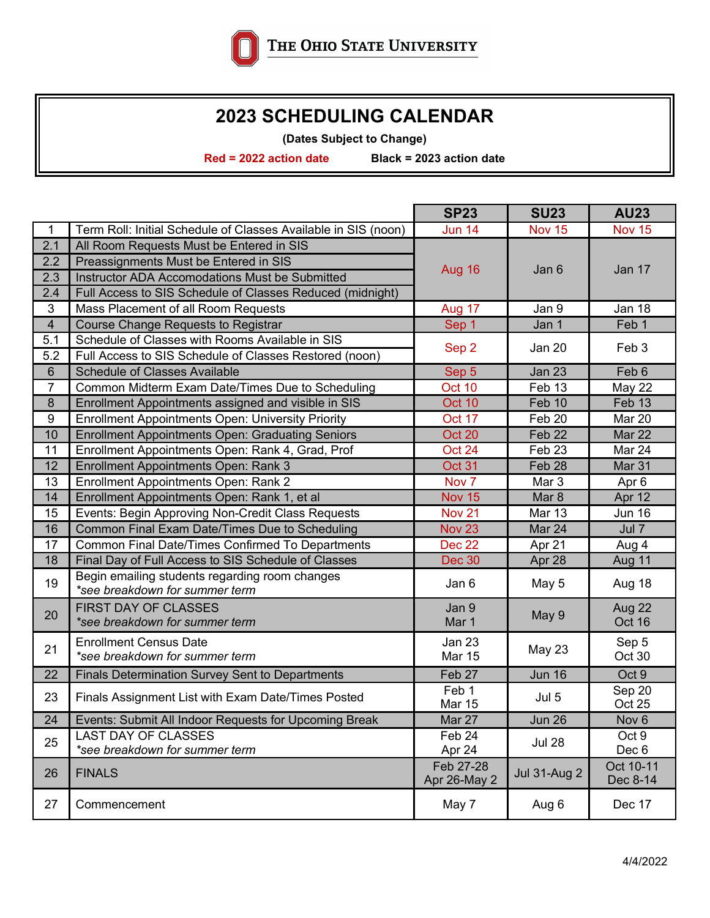

## **2023 SCHEDULING CALENDAR**

**(Dates Subject to Change)**

**Red = 2022 action date Black = 2023 action date**

|                 |                                                                | <b>SP23</b>               | <b>SU23</b>         | <b>AU23</b>           |
|-----------------|----------------------------------------------------------------|---------------------------|---------------------|-----------------------|
| $\mathbf 1$     | Term Roll: Initial Schedule of Classes Available in SIS (noon) | <b>Jun 14</b>             | <b>Nov 15</b>       | <b>Nov 15</b>         |
| 2.1             | All Room Requests Must be Entered in SIS                       |                           |                     |                       |
| 2.2             | Preassignments Must be Entered in SIS                          |                           | Jan 6               | Jan 17                |
| 2.3             | Instructor ADA Accomodations Must be Submitted                 | Aug 16                    |                     |                       |
| 2.4             | Full Access to SIS Schedule of Classes Reduced (midnight)      |                           |                     |                       |
| $\mathbf{3}$    | Mass Placement of all Room Requests                            | Aug 17                    | Jan 9               | <b>Jan 18</b>         |
| $\overline{4}$  | <b>Course Change Requests to Registrar</b>                     | Sep 1                     | Jan 1               | Feb 1                 |
| 5.1             | Schedule of Classes with Rooms Available in SIS                |                           | Jan 20              | Feb 3                 |
| 5.2             | Full Access to SIS Schedule of Classes Restored (noon)         | Sep 2                     |                     |                       |
| $6\phantom{1}6$ | <b>Schedule of Classes Available</b>                           | Sep 5                     | <b>Jan 23</b>       | Feb 6                 |
| 7               | Common Midterm Exam Date/Times Due to Scheduling               | Oct 10                    | Feb 13              | <b>May 22</b>         |
| 8               | Enrollment Appointments assigned and visible in SIS            | Oct 10                    | Feb 10              | Feb 13                |
| 9               | <b>Enrollment Appointments Open: University Priority</b>       | Oct 17                    | Feb 20              | Mar 20                |
| 10              | <b>Enrollment Appointments Open: Graduating Seniors</b>        | Oct 20                    | Feb 22              | Mar 22                |
| 11              | Enrollment Appointments Open: Rank 4, Grad, Prof               | Oct 24                    | Feb <sub>23</sub>   | Mar 24                |
| 12              | <b>Enrollment Appointments Open: Rank 3</b>                    | Oct 31                    | Feb 28              | Mar 31                |
| 13              | <b>Enrollment Appointments Open: Rank 2</b>                    | Nov <sub>7</sub>          | Mar 3               | Apr <sub>6</sub>      |
| 14              | Enrollment Appointments Open: Rank 1, et al                    | <b>Nov 15</b>             | Mar <sub>8</sub>    | Apr 12                |
| 15              | Events: Begin Approving Non-Credit Class Requests              | <b>Nov 21</b>             | <b>Mar 13</b>       | <b>Jun 16</b>         |
| 16              | Common Final Exam Date/Times Due to Scheduling                 | <b>Nov 23</b>             | Mar 24              | Jul 7                 |
| 17              | Common Final Date/Times Confirmed To Departments               | Dec 22                    | Apr 21              | Aug 4                 |
| 18              | Final Day of Full Access to SIS Schedule of Classes            | <b>Dec 30</b>             | Apr 28              | Aug 11                |
| 19              | Begin emailing students regarding room changes                 | Jan 6                     | May 5               | Aug 18                |
|                 | *see breakdown for summer term                                 |                           |                     |                       |
| 20              | <b>FIRST DAY OF CLASSES</b>                                    | Jan 9                     | May 9               | Aug 22                |
|                 | *see breakdown for summer term                                 | Mar 1                     |                     | Oct 16                |
| 21              | <b>Enrollment Census Date</b>                                  | <b>Jan 23</b>             | May 23              | Sep 5                 |
|                 | *see breakdown for summer term                                 | <b>Mar 15</b>             |                     | Oct 30                |
| 22              | <b>Finals Determination Survey Sent to Departments</b>         | Feb 27                    | <b>Jun 16</b>       | Oct 9                 |
| 23              | Finals Assignment List with Exam Date/Times Posted             | Feb 1<br><b>Mar 15</b>    | Jul 5               | Sep 20<br>Oct 25      |
| 24              | Events: Submit All Indoor Requests for Upcoming Break          | Mar 27                    | <b>Jun 26</b>       | Nov <sub>6</sub>      |
| 25              | <b>LAST DAY OF CLASSES</b>                                     | Feb 24                    | <b>Jul 28</b>       | Oct 9                 |
|                 | *see breakdown for summer term                                 | Apr 24                    |                     | Dec 6                 |
| 26              | <b>FINALS</b>                                                  | Feb 27-28<br>Apr 26-May 2 | <b>Jul 31-Aug 2</b> | Oct 10-11<br>Dec 8-14 |
| 27              | Commencement                                                   | May 7                     | Aug 6               | Dec 17                |